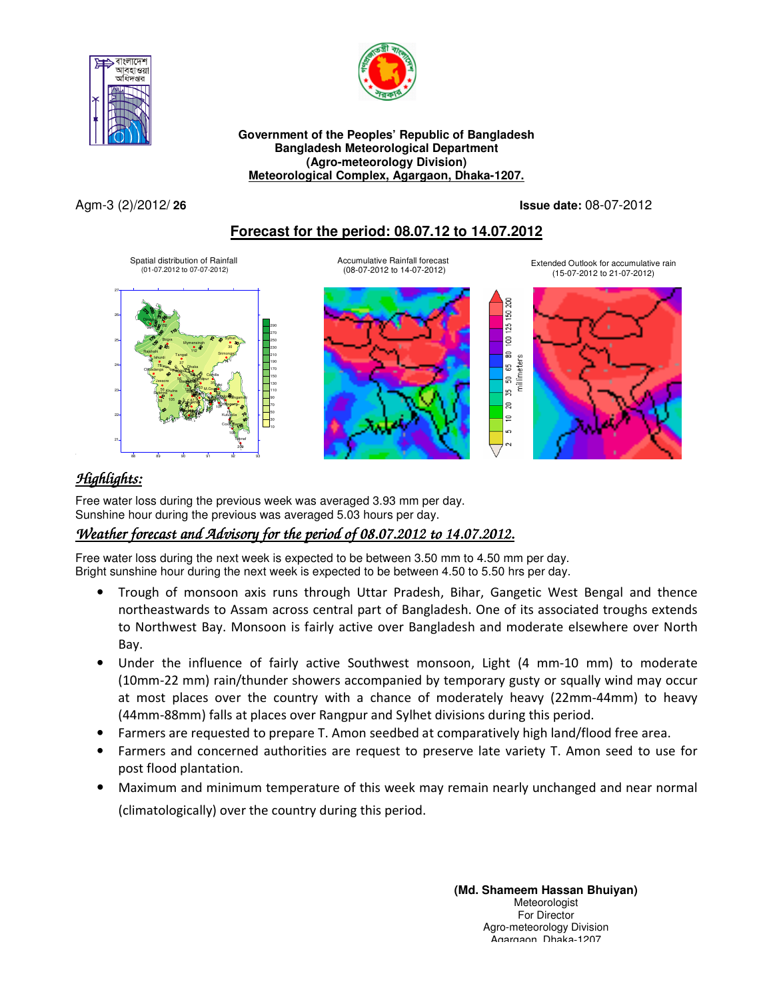



**Government of the Peoples' Republic of Bangladesh Bangladesh Meteorological Department (Agro-meteorology Division) Meteorological Complex, Agargaon, Dhaka-1207.**

#### Agm-3 (2)/2012/ **26 Issue date:** 08-07-2012

#### **Forecast for the period: 08.07.12 to 14.07.2012**



## *Highlights:*

 Free water loss during the previous week was averaged 3.93 mm per day. Sunshine hour during the previous was averaged 5.03 hours per day.

## *Weather forecast and Advisory for the period of 08.07.2012 to 14.07.2012.*

Free water loss during the next week is expected to be between 3.50 mm to 4.50 mm per day. Bright sunshine hour during the next week is expected to be between 4.50 to 5.50 hrs per day.

- Trough of monsoon axis runs through Uttar Pradesh, Bihar, Gangetic West Bengal and thence northeastwards to Assam across central part of Bangladesh. One of its associated troughs extends to Northwest Bay. Monsoon is fairly active over Bangladesh and moderate elsewhere over North Bay.
- Under the influence of fairly active Southwest monsoon, Light (4 mm-10 mm) to moderate (10mm-22 mm) rain/thunder showers accompanied by temporary gusty or squally wind may occur at most places over the country with a chance of moderately heavy (22mm-44mm) to heavy (44mm-88mm) falls at places over Rangpur and Sylhet divisions during this period.
- Farmers are requested to prepare T. Amon seedbed at comparatively high land/flood free area.
- Farmers and concerned authorities are request to preserve late variety T. Amon seed to use for post flood plantation.
- Maximum and minimum temperature of this week may remain nearly unchanged and near normal (climatologically) over the country during this period.

**(Md. Shameem Hassan Bhuiyan)** Meteorologist For Director Agro-meteorology Division Agargaon, Dhaka-1207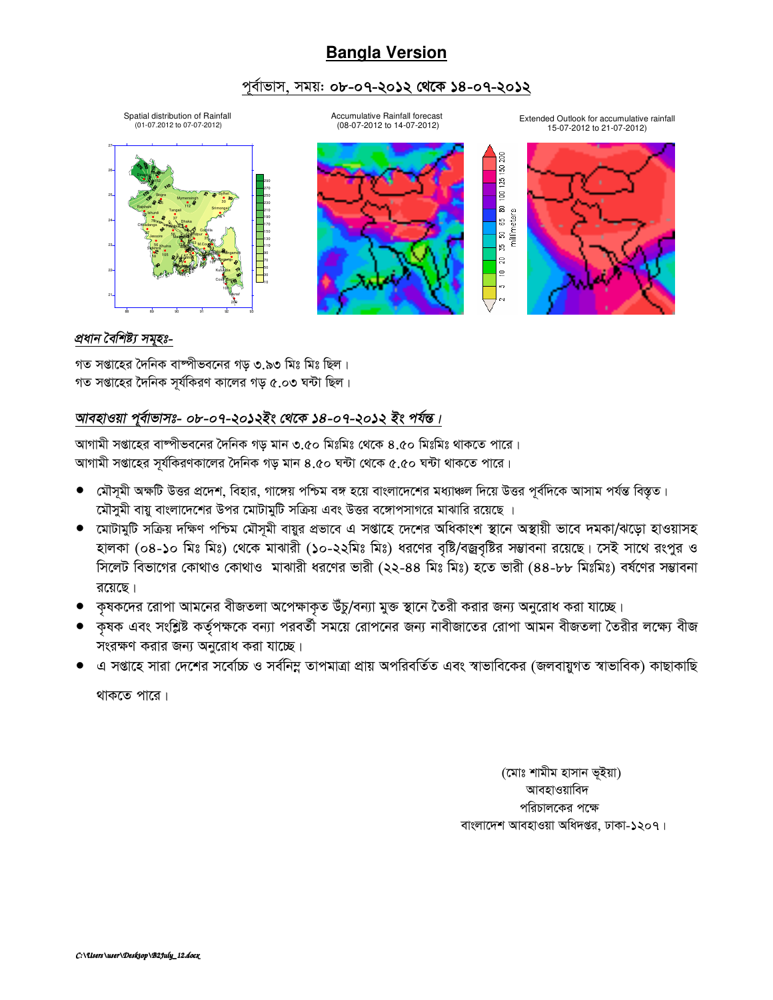# **Bangla Version**

#### পূৰ্বাভাস, সময়: **০৮-০৭-২০১২ থেকে ১৪-০৭-২০১২**

Spatial distribution of Rainfall (01-07.2012 to 07-07-2012)

Accumulative Rainfall forecast (08-07-2012 to 14-07-2012)

Extended Outlook for accumulative rainfall 15-07-2012 to 21-07-2012)

> g 20  $\equiv$







#### *প্ৰধান বৈশিষ্ট্য সমুহঃ-*

গত সপ্তাহের দৈনিক বাষ্পীভবনের গড় ৩.৯৩ মিঃ মিঃ ছিল। গত সপ্তাহের দৈনিক সর্যকিরণ কালের গড় ৫.০৩ ঘন্টা ছিল।

### আবহাওয়া পূৰ্বাভাসঃ- ০৮-০৭-২০**১**২ইং থেকে ১৪-০৭-২০১২ ইং পৰ্যন্ত।

আগামী সপ্তাহের বাষ্পীভবনের দৈনিক গড় মান ৩.৫০ মিঃমিঃ থেকে ৪.৫০ মিঃমিঃ থাকতে পারে। আগামী সপ্তাহের সর্যকিরণকালের দৈনিক গড় মান ৪.৫০ ঘন্টা থেকে ৫.৫০ ঘন্টা থাকতে পারে।

- মৌসুমী অক্ষটি উত্তর প্রদেশ, বিহার, গাঙ্গেয় পশ্চিম বঙ্গ হয়ে বাংলাদেশের মধ্যাঞ্চল দিয়ে উত্তর পূর্বদিকে আসাম পর্যন্ত বিস্তৃত। মৌসুমী বায়ু বাংলাদেশের উপর মোটামুটি সক্রিয় এবং উত্তর বঙ্গোপসাগরে মাঝারি রয়েছে ।
- মোটামুটি সক্ৰিয় দক্ষিণ পশ্চিম মৌসমী বায়ুর প্রভাবে এ সপ্তাহে দেশের অধিকাংশ স্থানে অস্থায়ী ভাবে দমকা/ঝড়ো হাওয়াসহ হালকা (০৪-১০ মিঃ মিঃ) থেকে মাঝারী (১০-২২মিঃ মিঃ) ধরণের বৃষ্টি/বজ্রবৃষ্টির সম্ভাবনা রয়েছে। সেই সাথে রংপুর ও সিলেট বিভাগের কোথাও কোথাও মাঝারী ধরণের ভারী (২২-৪৪ মিঃ মিঃ) হতে ভারী (৪৪-৮৮ মিঃমিঃ) বর্ষণের সম্ভাবনা  $\overline{3}$
- কৃষকদের রোপা আমনের বীজতলা অপেক্ষাকৃত উঁচু/বন্যা মুক্ত স্থানে তৈরী করার জন্য অনুরোধ করা যাচ্ছে।
- ্কৃষক এবং সংশ্লিষ্ট কর্তৃপক্ষকে বন্যা পরবর্তী সময়ে রোপনের জন্য নাবীজাতের রোপা আমন বীজতলা তৈরীর লক্ষ্যে বীজ সংরক্ষণ করার জন্য অনুরোধ করা যাচ্ছে।
- ্এ সপ্তাহে সারা দেশের সর্বোচ্চ ও সর্বনিম্ন তাপমাত্রা প্রায় অপরিবর্তিত এবং স্বাভাবিকের (জলবায়ুগত স্বাভাবিক) কাছাকাছি

থাকতে পারে।

(মোঃ শামীম হাসান ভূইয়া) আবহাওয়াবিদ পরিচালকের পক্ষে বাংলাদেশ আবহাওয়া অধিদপ্তর, ঢাকা-১২০৭।